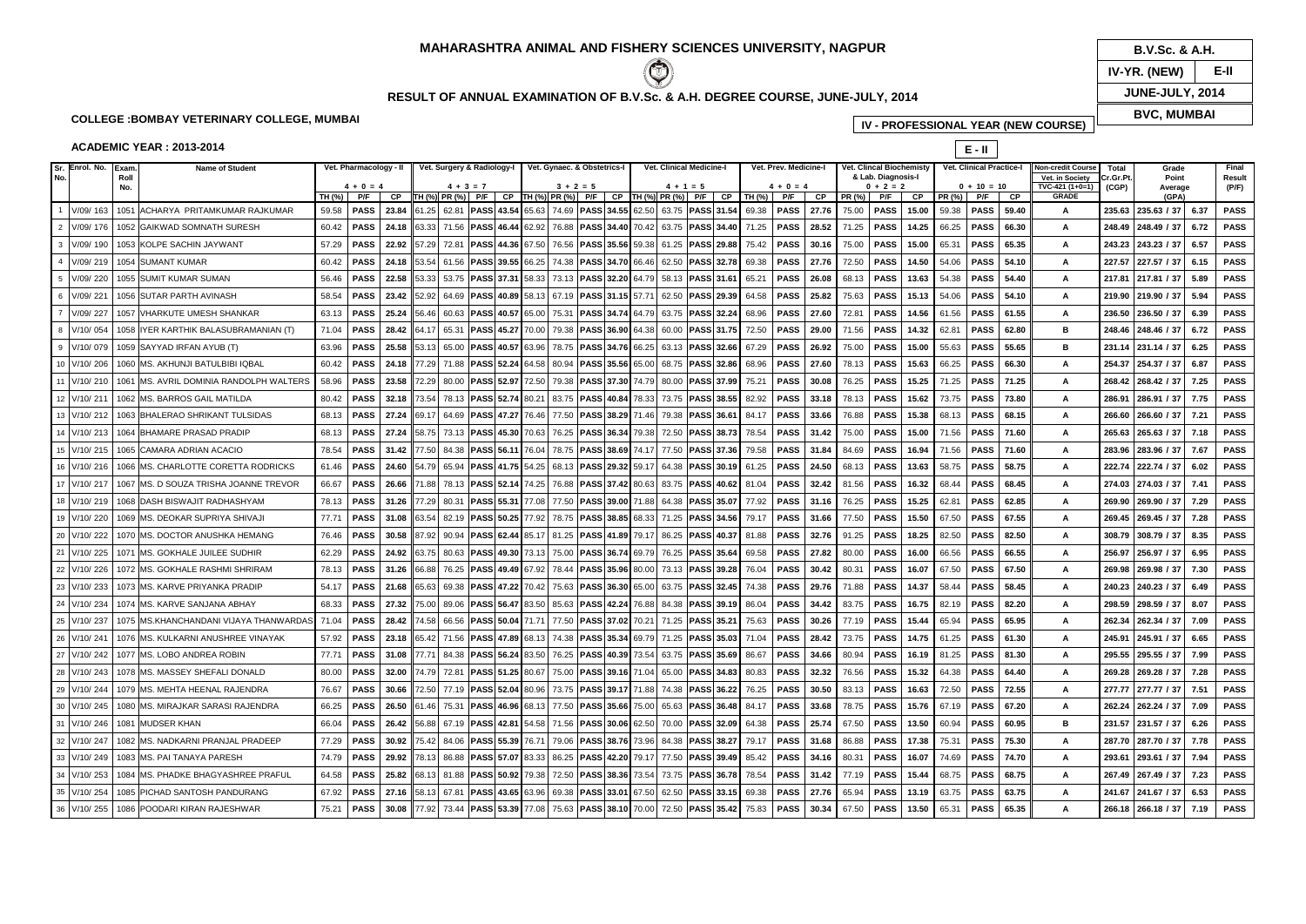## **COLLEGE :BOMBAY VETERINARY COLLEGE, MUMBAI**

### **ACADEMIC YEAR : 2013-2014**

| icine-l | <b>Vet. Clincal Biochemisty</b> |                   |       |        | <b>Vet. Clinical Practice-I</b> |       | <b>Non-credit Course</b> | Total     | Grade       | Final       |             |
|---------|---------------------------------|-------------------|-------|--------|---------------------------------|-------|--------------------------|-----------|-------------|-------------|-------------|
|         | & Lab. Diagnosis-I              |                   |       |        |                                 |       | Vet. in Society          | Cr.Gr.Pt. | Point       | Result      |             |
| 4       |                                 | $0 + 2 = 2$<br>СP |       | PR (%) | $0 + 10 = 10$                   |       | TVC-421 (1+0=1)          | (CGP)     | Average     | $($ P/F $)$ |             |
| СP      | PR (%)                          | P/F               |       |        | P/F                             | СP    | <b>GRADE</b>             |           | (GPA)       |             |             |
| 27.76   | 75.00                           | <b>PASS</b>       | 15.00 | 59.38  | <b>PASS</b>                     | 59.40 | А                        | 235.63    | 235.63 / 37 | 6.37        | <b>PASS</b> |
| 28.52   | 71.25                           | <b>PASS</b>       | 14.25 | 66.25  | <b>PASS</b>                     | 66.30 | Α                        | 248.49    | 248.49 / 37 | 6.72        | <b>PASS</b> |
| 30.16   | 75.00                           | <b>PASS</b>       | 15.00 | 65.31  | <b>PASS</b>                     | 65.35 | A                        | 243.23    | 243.23 / 37 | 6.57        | <b>PASS</b> |
| 27.76   | 72.50                           | <b>PASS</b>       | 14.50 | 54.06  | <b>PASS</b>                     | 54.10 | А                        | 227.57    | 227.57 / 37 | 6.15        | PASS        |
| 26.08   | 68.13                           | <b>PASS</b>       | 13.63 | 54.38  | <b>PASS</b>                     | 54.40 | А                        | 217.81    | 217.81 / 37 | 5.89        | <b>PASS</b> |
| 25.82   | 75.63                           | <b>PASS</b>       | 15.13 | 54.06  | <b>PASS</b>                     | 54.10 | А                        | 219.90    | 219.90 / 37 | 5.94        | <b>PASS</b> |
| 27.60   | 72.81                           | <b>PASS</b>       | 14.56 | 61.56  | <b>PASS</b>                     | 61.55 | А                        | 236.50    | 236.50 / 37 | 6.39        | <b>PASS</b> |
| 29.00   | 71.56                           | <b>PASS</b>       | 14.32 | 62.81  | <b>PASS</b>                     | 62.80 | в                        | 248.46    | 248.46 / 37 | 6.72        | <b>PASS</b> |
| 26.92   | 75.00                           | <b>PASS</b>       | 15.00 | 55.63  | <b>PASS</b>                     | 55.65 | в                        | 231.14    | 231.14 / 37 | 6.25        | PASS        |
| 27.60   | 78.13                           | <b>PASS</b>       | 15.63 | 66.25  | <b>PASS</b>                     | 66.30 | А                        | 254.37    | 254.37 / 37 | 6.87        | <b>PASS</b> |
| 30.08   | 76.25                           | <b>PASS</b>       | 15.25 | 71.25  | <b>PASS</b>                     | 71.25 | А                        | 268.42    | 268.42 / 37 | 7.25        | PASS        |
| 33.18   | 78.13                           | <b>PASS</b>       | 15.62 | 73.75  | <b>PASS</b>                     | 73.80 | А                        | 286.91    | 286.91 / 37 | 7.75        | <b>PASS</b> |
| 33.66   | 76.88                           | <b>PASS</b>       | 15.38 | 68.13  | <b>PASS</b>                     | 68.15 | А                        | 266.60    | 266.60 / 37 | 7.21        | PASS        |
| 31.42   | 75.00                           | <b>PASS</b>       | 15.00 | 71.56  | <b>PASS</b>                     | 71.60 | А                        | 265.63    | 265.63 / 37 | 7.18        | PASS        |
| 31.84   | 84.69                           | <b>PASS</b>       | 16.94 | 71.56  | <b>PASS</b>                     | 71.60 | А                        | 283.96    | 283.96 / 37 | 7.67        | <b>PASS</b> |
| 24.50   | 68.13                           | <b>PASS</b>       | 13.63 | 58.75  | <b>PASS</b>                     | 58.75 | А                        | 222.74    | 222.74 / 37 | 6.02        | PASS        |
| 32.42   | 81.56                           | <b>PASS</b>       | 16.32 | 68.44  | <b>PASS</b>                     | 68.45 | А                        | 274.03    | 274.03 / 37 | 7.41        | <b>PASS</b> |
| 31.16   | 76.25                           | <b>PASS</b>       | 15.25 | 62.81  | <b>PASS</b>                     | 62.85 | А                        | 269.90    | 269.90 / 37 | 7.29        | PASS        |
| 31.66   | 77.50                           | <b>PASS</b>       | 15.50 | 67.50  | <b>PASS</b>                     | 67.55 | Α                        | 269.45    | 269.45 / 37 | 7.28        | PASS        |
| 32.76   | 91.25                           | <b>PASS</b>       | 18.25 | 82.50  | <b>PASS</b>                     | 82.50 | А                        | 308.79    | 308.79 / 37 | 8.35        | <b>PASS</b> |
| 27.82   | 80.00                           | <b>PASS</b>       | 16.00 | 66.56  | <b>PASS</b>                     | 66.55 | А                        | 256.97    | 256.97 / 37 | 6.95        | PASS        |
| 30.42   | 80.31                           | <b>PASS</b>       | 16.07 | 67.50  | <b>PASS</b>                     | 67.50 | А                        | 269.98    | 269.98 / 37 | 7.30        | <b>PASS</b> |
| 29.76   | 71.88                           | <b>PASS</b>       | 14.37 | 58.44  | <b>PASS</b>                     | 58.45 | А                        | 240.23    | 240.23 / 37 | 6.49        | PASS        |
| 34.42   | 83.75                           | <b>PASS</b>       | 16.75 | 82.19  | <b>PASS</b>                     | 82.20 | А                        | 298.59    | 298.59 / 37 | 8.07        | PASS        |
| 30.26   | 77.19                           | <b>PASS</b>       | 15.44 | 65.94  | <b>PASS</b>                     | 65.95 | А                        | 262.34    | 262.34 / 37 | 7.09        | <b>PASS</b> |
| 28.42   | 73.75                           | <b>PASS</b>       | 14.75 | 61.25  | <b>PASS</b>                     | 61.30 | Α                        | 245.91    | 245.91 / 37 | 6.65        | <b>PASS</b> |
| 34.66   | 80.94                           | <b>PASS</b>       | 16.19 | 81.25  | <b>PASS</b>                     | 81.30 | Α                        | 295.55    | 295.55 / 37 | 7.99        | PASS        |
| 32.32   | 76.56                           | <b>PASS</b>       | 15.32 | 64.38  | <b>PASS</b>                     | 64.40 | Α                        | 269.28    | 269.28 / 37 | 7.28        | PASS        |
| 30.50   | 83.13                           | <b>PASS</b>       | 16.63 | 72.50  | <b>PASS</b>                     | 72.55 | Α                        | 277.77    | 277.77 / 37 | 7.51        | PASS        |
| 33.68   | 78.75                           | <b>PASS</b>       | 15.76 | 67.19  | <b>PASS</b>                     | 67.20 | Α                        | 262.24    | 262.24 / 37 | 7.09        | PASS        |
| 25.74   | 67.50                           | <b>PASS</b>       | 13.50 | 60.94  | <b>PASS</b>                     | 60.95 | в                        | 231.57    | 231.57 / 37 | 6.26        | PASS        |
| 31.68   | 86.88                           | <b>PASS</b>       | 17.38 | 75.31  | <b>PASS</b>                     | 75.30 | Α                        | 287.70    | 287.70 / 37 | 7.78        | PASS        |
| 34.16   | 80.31                           | <b>PASS</b>       | 16.07 | 74.69  | <b>PASS</b>                     | 74.70 | Α                        | 293.61    | 293.61 / 37 | 7.94        | PASS        |
| 31.42   | 77.19                           | <b>PASS</b>       | 15.44 | 68.75  | <b>PASS</b>                     | 68.75 | Α                        | 267.49    | 267.49 / 37 | 7.23        | PASS        |
| 27.76   | 65.94                           | <b>PASS</b>       | 13.19 | 63.75  | <b>PASS</b>                     | 63.75 | Α                        | 241.67    | 241.67 / 37 | 6.53        | <b>PASS</b> |
| 30.34   | 67.50                           | <b>PASS</b>       | 13.50 | 65.31  | <b>PASS</b>                     | 65.35 | Α                        | 266.18    | 266.18 / 37 | 7.19        | <b>PASS</b> |

**Sr. Enrol. No. Exam. Name of Student Total Final No. Roll Vet. in SocietyNo. TVC-421 (1+0=1) (CGP)TH (%) P/F CP TH (%) PR (%) P/F CP TH (%) PR (%) P/F CP TH (%) PR (%) P/F CP TH (%) P/F CP PR (%) P/F CP PR (%) P/F CP**1 V/09/ 163 1051 ACHARYA PRITAMKUMAR RAJKUMAR 59.58 PASS 23.84 61.25 62.81 PASS 43.54 65.63 74.69 PASS 34.55 62.50 63.75 PASS 31.54 69.38 PASS 77.76 75.00 PASS 15.00 59.38 PAS 2 V/09/ 176 1052 GAIKWAD SOMNATH SURESH **60.42** 2 | PASS | 24.18 |63.33| 71.56 |PASS|46.44||62.92| 76.88 |PASS| 34.40| 70.42| 63.75 |PASS| 34.40| 71.25 | PASS | 28.52 | 71.25 | PASS | 14.25 || 66.25 | PASS | 66.30 || A || 248.49 | 248.49 / 37 | 6.72 | P 3 V/09/190 1053 KOLPE SACHIN JAYWANT 57.29 9 | PASS | 22.92 | 57.29| 72.81 |PASS|44.36||67.50| 76.56 |PASS| 35.56||59.38| 61.25 |PASS| 29.88| 75.42 | PASS | 30.16 | 75.00 | PASS | 15.00 || 65.31 | PASS | 65.35 || || 243.23 | 243.23 | 243.23 / 37 | 6. 4 V/09/219 1054 SUMANT KUMAR 60.42 2 | PASS | 24.18 |53.54| 61.56 |PASS|39.55||66.25| 74.38 |PASS| 34.70||66.46| 62.50 |PASS| 32.78| 69.38 | PASS | 27.76 | 72.50 | PASS | 14.50 || 54.06 | PASS | 54.10 || || 227.57 | 227.57 / 37 | 6.15 | PAS 5 V/09/220 1055 SUMIT KUMAR SUMAN 56.46 6 | PASS | 22.58 | 53.33 | 53.75 |PASS|37.31 |58.33 | 73.13 |PASS| 32.20 |64.79 | 58.13 |PASS| 31.61 | 65.21 | PASS | 26.08 | 68.13 | PASS | 13.63 | 54.38 | PASS | 54.40 | A ||217.81 | 217.81 | 217.81 | 37 | 5.89 | PASS 6 V/09/221 1056 SUTAR PARTH AVINASH 58.54 4 | PASS | 23.42 |52.92| 64.69 |PASS|40.89||58.13| 67.19 |PASS|31.15||57.71| 62.50 |PASS|29.39| 64.58 | PASS | 25.82 | 75.63 | PASS | 15.13 || 54.06 | PASS | 54.10 || || 219.90 | 219.90 / 37 | 5.94 | PASS 7 V/09/ 227 1057 VHARKUTE UMESH SHANKAR 63.13 3 | PASS | 25.24 | 56.46| 60.63 |PASS|40.57||65.00| 75.31 |PASS| 34.74||64.79| 63.75 |PASS| 32.24| 68.96 | PASS | 27.60 | 72.81 | PASS | 14.56 || 61.56 | PASS | 61.55 || || 236.50 | 236.50 / 37 | 6.39 | 8 V/10/054 1058 IYER KARTHIK BALASUBRAMANIAN (T) 71.04 4 | PASS | 28.42 |64.17| 65.31 |PASS|45.27||70.00| 79.38 |PASS| 36.90||64.38| 60.00 |PASS|31.75| 72.50 | PASS | 29.00 | 71.56 | PASS | 14.32 || 62.81 | PASS | 62.80 | B | 248.46 | 248.46 | 248.46 / 37 | 6.72 | P 9 V/10/079 1059 SAYYAD IRFAN AYUB (T) 63.96 6 | PASS | 25.58 | 53.13| 65.00 |PASS|40.57||63.96| 78.75 |PASS| 34.76||66.25| 63.13 |PASS| 32.66| 67.29 | PASS | 26.92 | 75.00 | PASS | 15.00 || 55.63 | PASS | 55.65 | B || 231.14 | 231.14 / 37 | 6.25 | 10 V/10/206  $\sqrt{1060}$  MS. AKHUNJI BATULBIBI IOBAL 60.42 2 | PASS | 24.18 |77.29| 71.88 |PASS|52.24||64.58| 80.94 |PASS| 35.56||65.00| 68.75 |PASS|32.86| 68.96 | PASS | 27.60 | 78.13 | PASS | 15.63 || 66.25 | PASS | 66.30 || A || 254.37 | 254.37 / 37 | 6.87 | PASS 11V/10/ 210 | 1061 | MS. AVRIL DOMINIA RANDOLPH WALTERS | 58.96 6 | PASS | 23.58 | 72.29| 80.00 |PASS|52.97||72.50| 79.38 |PASS| 37.30||74.79| 80.00 |PASS|37.99| 75.21 | PASS | 30.08 | 76.25 | PASS | 15.25 | 71.25 | PASS | 71.25 | | 268.42 | 268.42 | 268.42 / 37 | 7.2  $12$   $V/10/211$  $\frac{1062}{1062}$  MS. BARROS GAIL MATILDA  $\frac{1062}{1062}$  80.42 2 | PASS | 32.18 |73.54| 78.13 |PASS|52.74||80.21 | 83.75 |PASS| 40.84||78.33| 73.75 |PASS| 38.55| 82.92 | PASS | 33.18 | 78.13 | PASS | 15.62 || 73.75 | PASS | 73.80 || || 286.91 | 286.91 / 37 | 7.75 | 13 V/10/ 212 1063 BHALERAO SHRIKANT TULSIDAS 68.13 3 | PASS | 27.24 |69.17| 64.69 |PASS|47.27||76.46| 77.50 |PASS|38.29||71.46| 79.38 |PASS|36.61| 84.17 | PASS | 33.66 | 76.88 | PASS | 15.38 || 68.13 | PASS | 68.15 || | 266.60 | 266.60 / 37 | 7.21 | PASS 14 V/10/213 1064 BHAMARE PRASAD PRADIP 68.13 3 | PASS | 27.24 |58.75| 73.13 |PASS|45.30||70.63| 76.25 |PASS| 36.34||79.38| 72.50 |PASS| 38.73| 78.54 | PASS | 31.42 | 75.00 | PASS | 15.00 || 71.56 | PASS | 71.60 || | 265.63 | 265.63 | 265.63 | 15 V/10/ 215 1065 CAMARA ADRIAN ACACIO 78.54 4 | PASS | 31.42 | 77.50| 84.38 |PASS|56.11∥76.04 | 78.75 |PASS| 38.69∥74.17 | 77.50 |PASS| 37.36 | 79.58 | PASS | 31.84 | 84.69 | PASS | 16.94 ∥ 71.56 | PASS | 71.60 ∥ ∥ 283.96 | 283.96 | 283.96 / 16 V/10/216 1066 MS. CHARLOTTE CORETTA RODRICKS | 61.46 6 | PASS | 24.60 |54.79| 65.94 |PASS|41.75||54.25| 68.13 |PASS| 29.32||59.17| 64.38 |PASS| 30.19| 61.25 | PASS | 24.50 | 68.13 | PASS | 13.63 || 58.75 | PASS | 58.75 | | 222.74 | 222.74 / 37 | 6.02 | 17 V/10/ 217 1067 MS. D SOUZA TRISHA JOANNE TREVOR 66.67 7 | PASS | 26.66 | 71.88| 78.13 |PASS|52.14||74.25| 76.88 |PASS| 37.42||80.63| 83.75 |PASS| 40.62| 81.04 | PASS | 32.42 | 81.56 | PASS | 16.32 || 68.44 | PASS | 68.45 || | 274.03 | 274.03 / 37 | 7.41 | P 18 V/10/ 219 1068 DASH BISWAJIT RADHASHYAM 1068 78.13 3 | PASS | 31.26 | 77.29| 80.31 |PASS|55.31∥77.08| 77.50 |PASS| 39.00∥71.88| 64.38 |PASS|35.07| 77.92 | PASS | 31.16 | 76.25 | PASS | 15.25 || 62.81 | PASS | 62.85 || | 269.90 | 269.90 / 37 | 7.29 | PA 19 V/10/ 220 1069 MS. DEOKAR SUPRIYA SHIVAJI 77.71 1 | PASS | 31.08 |63.54 | 82.19 |PASS|50.25||77.92 | 78.75 |PASS|38.85||68.33| 71.25 |PASS|34.56| 79.17 | PASS | 31.66 | 77.50 | PASS | 15.50 | 67.50 | PASS | 67.55 | | 269.45 | 269.45 | 269.45 / 37 | 7. 20 V/10/ 222 1070 MS. DOCTOR ANUSHKA HEMANG 76.46 6 | PASS | 30.58 | 87.92 | 90.94 |PASS |62.44 |85.17 | 81.25 |PASS |41.89 |79.17 | 86.25 |PASS | 40.37 | 81.88 | PASS | 32.76 | 91.25 | PASS | 18.25 | BASS | 82.50 | PASS | 82.50 | | 308.79 | 308.79  $21$  $\sqrt{(100/225/1071)}$  MS. GOKHALE JUILEE SUDHIR  $\sqrt{(62.29)}$ 9 | PASS | 24.92 |63.75| 80.63 |PASS|49.30||73.13| 75.00 |PASS| 36.74||69.79| 76.25 |PASS| 35.64| 69.58 | PASS | 27.82 | 80.00 | PASS | 16.00 || 66.56 | PASS | 66.55 | | 256.97 | 256.97 / 37 | 6.95 | P 22 V/10/ 226 1072 MS. GOKHALE RASHMI SHRIRAM 78.13 PASS 31.26 66.88 76.25 PASS 49.49 67.92 78.44 PASS 35.96 80.00 73.13 PASS 39.28 76.04 PASS 30.42 80.31 PASS 16.07 67.50 PAS 23 V/10/233 1073 MS. KARVE PRIYANKA PRADIP 54.17 7 | PASS | 21.68 | 65.63| 69.38 |PASS|47.22∥70.42| 75.63 |PASS| 36.30| 65.00| 63.75 |PASS| 32.45| 74.38 | PASS | 29.76 | 71.88 | PASS | 14.37 || 58.44 | PASS | 58.45 || | 240.23 | 240.23 / 37 | 6.49 | 24 V/10/234 1074 MS. KARVE SANJANA ABHAY 68.33 3 | PASS | 27.32 | 75.00| 89.06 |PASS|56.47||83.50| 85.63 |PASS| 42.24||76.88| 84.38 |PASS|39.19| 86.04 | PASS | 34.42 | 83.75 | PASS | 16.75 || 82.19 | PASS | 82.20 || || 298.59 | 298.59 | 298.59 | 298.59 | 25 V/10/237 1075 MS.KHANCHANDANI VIJAYA THANWARDAS 71.04 4 | PASS | 28.42 | 74.58| 66.56 |PASS|50.04||71.71 | 77.50 |PASS| 37.02|| 70.21 | 71.25 |PASS| 35.21 | 75.63 | PASS | 30.26 | 77.19 | PASS | 15.44 || 65.94 | PASS | 65.95 || A || 262.34 | 262.34 / 37 | 7.0 26 V/10/241 1076 MS. KULKARNI ANUSHREE VINAYAK 1076 57.92 2 | PASS | 23.18 |65.42| 71.56 |PASS|47.89||68.13| 74.38 |PASS| 35.34||69.79| 71.25 |PASS| 35.03| 71.04 | PASS | 28.42 | 73.75 | PASS | 14.75 || 61.25 | PASS | 61.30 || || 245.91 | 245.91 / 37| 6.65 | PASS 27 V/10/242 1077 MS. LOBO ANDREA ROBIN 77.71 PASS 31.08 77.71 84.38 PASS 56.24 83.50 76.25 PASS 40.39 73.54 63.75 PASS 35.69 86.67 PASS 34.66 80.94 PASS 16.19 81.25 PAS  $28$  V/10/ 243 1078 MS. MASSEY SHEFALLDONALD 80.00 0 | PASS | 32.00 | 74.79| 72.81 |PASS|51.25||80.67| 75.00 |PASS| 39.16||71.04| 65.00 |PASS| 34.83| 80.83 | PASS | 32.32 | 76.56 | PASS | 15.32 || 64.38 | PASS | 64.40 || A || 269.28 | 269.28 / 37 | 7.28 | PASS 29 V/10/244 1079 MS. MEHTA HEENAL RAJENDRA 76.67 7 | PASS | 30.66 | 72.50| 77.19 |PASS|52.04||80.96| 73.75 |PASS| 39.17||71.88| 74.38 |PASS| 36.22| 76.25 | PASS | 30.50 | 83.13 | PASS | 16.63 || 72.50 | PASS | 72.55 | | 277.77 | 277.77 / 37 | 7.51 | PASS 30 V/10/245 1080 MS. MIRAJKAR SARASI RAJENDRA 66.25 5 | PASS | 26.50 |61.46| 75.31 |PASS|46.96||68.13| 77.50 |PASS|35.66||75.00| 65.63 |PASS|36.48| 84.17 | PASS | 33.68 | 78.75 | PASS | 15.76 || 67.19 | PASS | 67.20 || || 262.24 | 262.24 / 37 | 7.09 | PASS 31 V/10/246 1081 MUDSER KHAN 66.04 4 | PASS | 26.42 |56.88| 67.19 |PASS|42.81∥54.58| 71.56 |PASS|30.06∥62.50| 70.00 |PASS|32.09| 64.38 | PASS | 25.74 | 67.50 | PASS | 13.50 ∥ 60.94 | PASS | 60.95 ∥ B ∥ 231.57 | 231.57 | 231.57 / 37 | 6.26 ∣ PASS 32 V/10/247 1082 MS. NADKARNI PRANJAL PRADEEP 77.29 9 | PASS | 30.92 | 75.42| 84.06 |PASS|55.39∥76.71 | 79.06 |PASS| 38.76∥73.96| 84.38 |PASS|38.27 | 79.17 | PASS | 31.68 | 86.88 | PASS | 17.38 || 75.31 | PASS | 75.30 || || 287.70 | 287.70 / 37 | 7.78 | PASS 33 V/10/249 1083 MS. PAI TANAYA PARESH 24.79 9 | PASS | 29.92 | 78.13| 86.88 |PASS|57.07||83.33| 86.25 |PASS| 42.20||79.17| 77.50 |PASS| 39.49| 85.42 | PASS | 34.16 | 80.31 | PASS | 16.07 || 74.69 | PASS | 74.70 || || 293.61 | 293.61 | 293.61 | 293.61 | 34V/10/ 253 | 1084 MS. PHADKE BHAGYASHREE PRAFUL 64.58 8 | PASS | 25.82 | 68.13| 81.88 |PASS| 50.92||79.38| 72.50 |PASS| 38.36||73.54| 73.75 |PASS| 36.78| PASS | 31.42 | 77.19 | PASS | 15.44 || 68.75 | PASS | 68.75 | | 267.49 | 267.49 | 267.49 / 37 | 7.23 35 V/10/ 254 1085 PICHAD SANTOSH PANDURANG 67.92 PASS 27.16 58.13 67.81 PASS 43.65 63.96 69.38 PASS 33.01 67.50 62.50 PASS 33.15 69.38 PASS 27.76 65.94 PASS 13.19 63.75 PAS 36 V/10/ <sup>255</sup> <sup>1086</sup> POODARI KIRAN RAJESHWAR 75.2175.21 | PASS | 30.08 | 77.92 | 73.44 |PASS 53.39 | 77.08 | 75.63 |PASS 38.10 || 70.00 | 72.50 |PASS |35.42 | 75.83 | PASS | 30.34 | 67.50 | PASS | 13.50 || 65.31 || PAS **Vet. Clincal BiochemistyVet. Clinical Medicine-I4 + 1 = 5 4 + 0 = 4 4 + 3 = 7 3 + 2 = 5 & Lab. Diagnosis-IVet. Pharmacology - II Vet. Surgery & Radiology-I Vet. Gynaec. & Obstetrics-I Vet. Prev. Medicine-I Vet. Clinical Practice-I 4 + 0 = 4**

# **MAHARASHTRA ANIMAL AND FISHERY SCIENCES UNIVERSITY, NAGPUR**



# **RESULT OF ANNUAL EXAMINATION OF B.V.Sc. & A.H. DEGREE COURSE, JUNE-JULY, 2014**

**B.V.Sc. & A.H.**

**IV-YR. (NEW)**

**JUNE-JULY, 2014**

**BVC, MUMBAI**

**E-II**

**IV - PROFESSIONAL YEAR (NEW COURSE)**

**E - II**